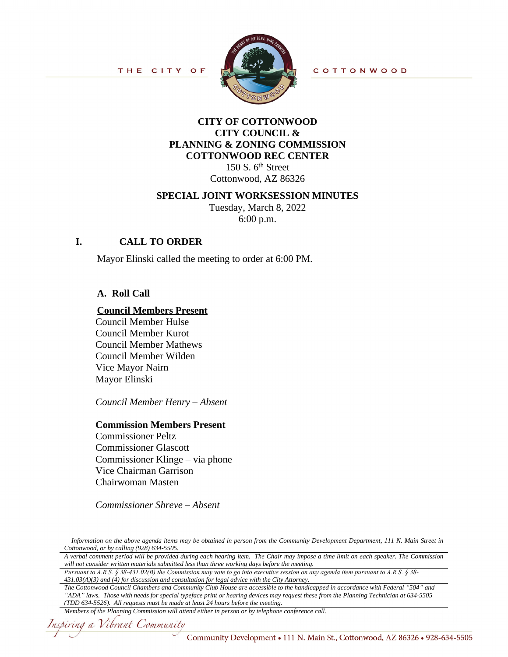

## **CITY OF COTTONWOOD CITY COUNCIL & PLANNING & ZONING COMMISSION COTTONWOOD REC CENTER**

150 S.  $6<sup>th</sup>$  Street Cottonwood, AZ 86326

### **SPECIAL JOINT WORKSESSION MINUTES**

Tuesday, March 8, 2022 6:00 p.m.

## **I. CALL TO ORDER**

Mayor Elinski called the meeting to order at 6:00 PM.

## **A. Roll Call**

### **Council Members Present**

Council Member Hulse Council Member Kurot Council Member Mathews Council Member Wilden Vice Mayor Nairn Mayor Elinski

*Council Member Henry – Absent*

#### **Commission Members Present**

Commissioner Peltz Commissioner Glascott Commissioner Klinge – via phone Vice Chairman Garrison Chairwoman Masten

*Commissioner Shreve – Absent* 

Information on the above agenda items may be obtained in person from the Community Development Department, 111 N. Main Street in *Cottonwood, or by calling (928) 634-5505.*

A verbal comment period will be provided during each hearing item. The Chair may impose a time limit on each speaker. The Commission *will not consider written materials submitted less than three working days before the meeting.*

*Pursuant to A.R.S. § 38-431.02(B) the Commission may vote to go into executive session on any agenda item pursuant to A.R.S. § 38- 431.03(A)(3) and (4) for discussion and consultation for legal advice with the City Attorney.*

*The Cottonwood Council Chambers and Community Club House are accessible to the handicapped in accordance with Federal "504" and "ADA" laws. Those with needs for special typeface print or hearing devices may request these from the Planning Technician at 634-5505 (TDD 634-5526). All requests must be made at least 24 hours before the meeting.*

*Members of the Planning Commission will attend either in person or by telephone conference call.*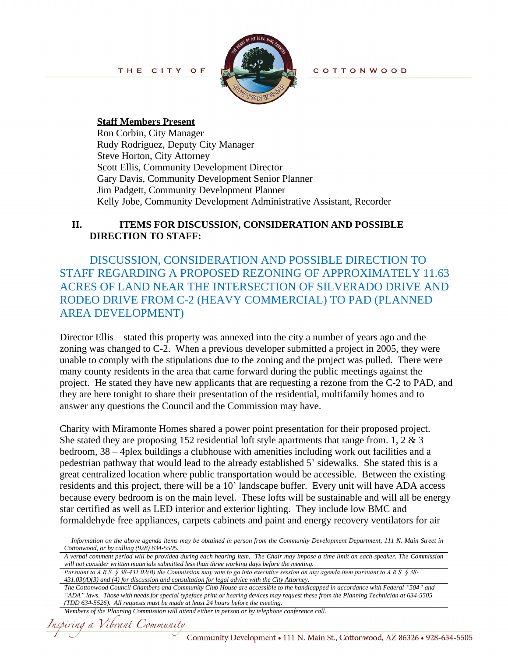

**COTTONWOOD** 

#### **Staff Members Present**

Ron Corbin, City Manager Rudy Rodriguez, Deputy City Manager Steve Horton, City Attorney Scott Ellis, Community Development Director Gary Davis, Community Development Senior Planner Jim Padgett, Community Development Planner Kelly Jobe, Community Development Administrative Assistant, Recorder

## **II. ITEMS FOR DISCUSSION, CONSIDERATION AND POSSIBLE DIRECTION TO STAFF:**

DISCUSSION, CONSIDERATION AND POSSIBLE DIRECTION TO STAFF REGARDING A PROPOSED REZONING OF APPROXIMATELY 11.63 ACRES OF LAND NEAR THE INTERSECTION OF SILVERADO DRIVE AND RODEO DRIVE FROM C-2 (HEAVY COMMERCIAL) TO PAD (PLANNED AREA DEVELOPMENT)

Director Ellis – stated this property was annexed into the city a number of years ago and the zoning was changed to C-2. When a previous developer submitted a project in 2005, they were unable to comply with the stipulations due to the zoning and the project was pulled. There were many county residents in the area that came forward during the public meetings against the project. He stated they have new applicants that are requesting a rezone from the C-2 to PAD, and they are here tonight to share their presentation of the residential, multifamily homes and to answer any questions the Council and the Commission may have.

Charity with Miramonte Homes shared a power point presentation for their proposed project. She stated they are proposing 152 residential loft style apartments that range from. 1,  $2 \& 3$ bedroom, 38 – 4plex buildings a clubhouse with amenities including work out facilities and a pedestrian pathway that would lead to the already established 5' sidewalks. She stated this is a great centralized location where public transportation would be accessible. Between the existing residents and this project, there will be a 10' landscape buffer. Every unit will have ADA access because every bedroom is on the main level. These lofts will be sustainable and will all be energy star certified as well as LED interior and exterior lighting. They include low BMC and formaldehyde free appliances, carpets cabinets and paint and energy recovery ventilators for air

Information on the above agenda items may be obtained in person from the Community Development Department, 111 N. Main Street in *Cottonwood, or by calling (928) 634-5505.*

A verbal comment period will be provided during each hearing item. The Chair may impose a time limit on each speaker. The Commission *will not consider written materials submitted less than three working days before the meeting.*

*Pursuant to A.R.S. § 38-431.02(B) the Commission may vote to go into executive session on any agenda item pursuant to A.R.S. § 38- 431.03(A)(3) and (4) for discussion and consultation for legal advice with the City Attorney.*

*The Cottonwood Council Chambers and Community Club House are accessible to the handicapped in accordance with Federal "504" and "ADA" laws. Those with needs for special typeface print or hearing devices may request these from the Planning Technician at 634-5505 (TDD 634-5526). All requests must be made at least 24 hours before the meeting.*

*Members of the Planning Commission will attend either in person or by telephone conference call.*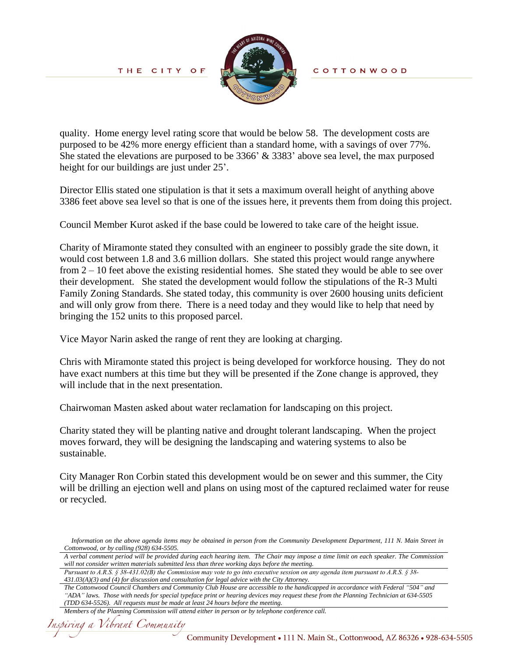THE CITY OF



**COTTONWOOD** 

quality. Home energy level rating score that would be below 58. The development costs are purposed to be 42% more energy efficient than a standard home, with a savings of over 77%. She stated the elevations are purposed to be 3366' & 3383' above sea level, the max purposed height for our buildings are just under 25'.

Director Ellis stated one stipulation is that it sets a maximum overall height of anything above 3386 feet above sea level so that is one of the issues here, it prevents them from doing this project.

Council Member Kurot asked if the base could be lowered to take care of the height issue.

Charity of Miramonte stated they consulted with an engineer to possibly grade the site down, it would cost between 1.8 and 3.6 million dollars. She stated this project would range anywhere from 2 – 10 feet above the existing residential homes. She stated they would be able to see over their development. She stated the development would follow the stipulations of the R-3 Multi Family Zoning Standards. She stated today, this community is over 2600 housing units deficient and will only grow from there. There is a need today and they would like to help that need by bringing the 152 units to this proposed parcel.

Vice Mayor Narin asked the range of rent they are looking at charging.

Chris with Miramonte stated this project is being developed for workforce housing. They do not have exact numbers at this time but they will be presented if the Zone change is approved, they will include that in the next presentation.

Chairwoman Masten asked about water reclamation for landscaping on this project.

Charity stated they will be planting native and drought tolerant landscaping. When the project moves forward, they will be designing the landscaping and watering systems to also be sustainable.

City Manager Ron Corbin stated this development would be on sewer and this summer, the City will be drilling an ejection well and plans on using most of the captured reclaimed water for reuse or recycled.

Information on the above agenda items may be obtained in person from the Community Development Department, 111 N. Main Street in *Cottonwood, or by calling (928) 634-5505.*

A verbal comment period will be provided during each hearing item. The Chair may impose a time limit on each speaker. The Commission *will not consider written materials submitted less than three working days before the meeting.*

*Pursuant to A.R.S. § 38-431.02(B) the Commission may vote to go into executive session on any agenda item pursuant to A.R.S. § 38- 431.03(A)(3) and (4) for discussion and consultation for legal advice with the City Attorney.*

*The Cottonwood Council Chambers and Community Club House are accessible to the handicapped in accordance with Federal "504" and "ADA" laws. Those with needs for special typeface print or hearing devices may request these from the Planning Technician at 634-5505 (TDD 634-5526). All requests must be made at least 24 hours before the meeting.*

*Members of the Planning Commission will attend either in person or by telephone conference call.*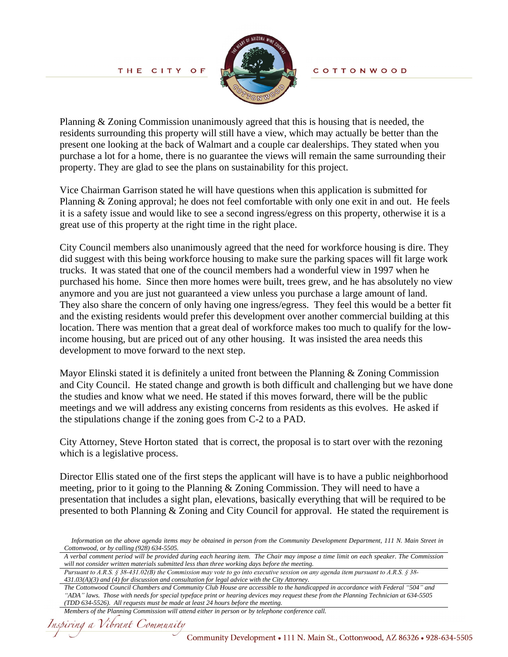

Planning & Zoning Commission unanimously agreed that this is housing that is needed, the residents surrounding this property will still have a view, which may actually be better than the present one looking at the back of Walmart and a couple car dealerships. They stated when you purchase a lot for a home, there is no guarantee the views will remain the same surrounding their property. They are glad to see the plans on sustainability for this project.

Vice Chairman Garrison stated he will have questions when this application is submitted for Planning & Zoning approval; he does not feel comfortable with only one exit in and out. He feels it is a safety issue and would like to see a second ingress/egress on this property, otherwise it is a great use of this property at the right time in the right place.

City Council members also unanimously agreed that the need for workforce housing is dire. They did suggest with this being workforce housing to make sure the parking spaces will fit large work trucks. It was stated that one of the council members had a wonderful view in 1997 when he purchased his home. Since then more homes were built, trees grew, and he has absolutely no view anymore and you are just not guaranteed a view unless you purchase a large amount of land. They also share the concern of only having one ingress/egress. They feel this would be a better fit and the existing residents would prefer this development over another commercial building at this location. There was mention that a great deal of workforce makes too much to qualify for the lowincome housing, but are priced out of any other housing. It was insisted the area needs this development to move forward to the next step.

Mayor Elinski stated it is definitely a united front between the Planning & Zoning Commission and City Council. He stated change and growth is both difficult and challenging but we have done the studies and know what we need. He stated if this moves forward, there will be the public meetings and we will address any existing concerns from residents as this evolves. He asked if the stipulations change if the zoning goes from C-2 to a PAD.

City Attorney, Steve Horton stated that is correct, the proposal is to start over with the rezoning which is a legislative process.

Director Ellis stated one of the first steps the applicant will have is to have a public neighborhood meeting, prior to it going to the Planning & Zoning Commission. They will need to have a presentation that includes a sight plan, elevations, basically everything that will be required to be presented to both Planning & Zoning and City Council for approval. He stated the requirement is

*Pursuant to A.R.S. § 38-431.02(B) the Commission may vote to go into executive session on any agenda item pursuant to A.R.S. § 38- 431.03(A)(3) and (4) for discussion and consultation for legal advice with the City Attorney.*

*The Cottonwood Council Chambers and Community Club House are accessible to the handicapped in accordance with Federal "504" and "ADA" laws. Those with needs for special typeface print or hearing devices may request these from the Planning Technician at 634-5505 (TDD 634-5526). All requests must be made at least 24 hours before the meeting.*

```
Members of the Planning Commission will attend either in person or by telephone conference call.
```
Information on the above agenda items may be obtained in person from the Community Development Department, 111 N. Main Street in *Cottonwood, or by calling (928) 634-5505.*

A verbal comment period will be provided during each hearing item. The Chair may impose a time limit on each speaker. The Commission *will not consider written materials submitted less than three working days before the meeting.*